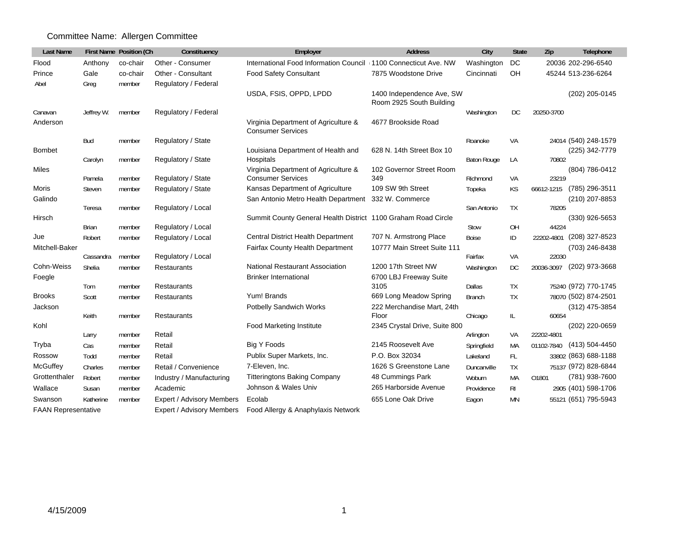## Committee Name: Allergen Committee

| <b>Last Name</b>           |               | First Name Position (Ch | Constituency              | Employer                                                          | <b>Address</b>                                        | City               | <b>State</b>   | Zip        | Telephone            |
|----------------------------|---------------|-------------------------|---------------------------|-------------------------------------------------------------------|-------------------------------------------------------|--------------------|----------------|------------|----------------------|
| Flood                      | Anthony       | co-chair                | Other - Consumer          | International Food Information Council (1100 Connecticut Ave. NW) |                                                       | Washington         | DC             |            | 20036 202-296-6540   |
| Prince                     | Gale          | co-chair                | Other - Consultant        | <b>Food Safety Consultant</b>                                     | 7875 Woodstone Drive                                  | Cincinnati         | OΗ             |            | 45244 513-236-6264   |
| Abel                       | Greg          | member                  | Regulatory / Federal      |                                                                   |                                                       |                    |                |            |                      |
|                            |               |                         |                           | USDA, FSIS, OPPD, LPDD                                            | 1400 Independence Ave, SW<br>Room 2925 South Building |                    |                |            | (202) 205-0145       |
| Canavan                    | Jeffrey W.    | member                  | Regulatory / Federal      |                                                                   |                                                       | Washington         | DC             | 20250-3700 |                      |
| Anderson                   |               |                         |                           | Virginia Department of Agriculture &<br><b>Consumer Services</b>  | 4677 Brookside Road                                   |                    |                |            |                      |
|                            | Bud           | member                  | Regulatory / State        |                                                                   |                                                       | Roanoke            | VA             |            | 24014 (540) 248-1579 |
| <b>Bombet</b>              | Carolyn       |                         | Regulatory / State        | Louisiana Department of Health and<br>Hospitals                   | 628 N. 14th Street Box 10                             | <b>Baton Rouge</b> | LA             | 70802      | (225) 342-7779       |
| Miles                      |               | member                  |                           | Virginia Department of Agriculture &                              | 102 Governor Street Room                              |                    |                |            | (804) 786-0412       |
|                            | Pamela        | member                  | Regulatory / State        | <b>Consumer Services</b>                                          | 349                                                   | Richmond           | VA             | 23219      |                      |
| Moris                      | <b>Steven</b> | member                  | Regulatory / State        | Kansas Department of Agriculture                                  | 109 SW 9th Street                                     | Topeka             | <b>KS</b>      | 66612-1215 | (785) 296-3511       |
| Galindo                    |               |                         |                           | San Antonio Metro Health Department                               | 332 W. Commerce                                       |                    |                |            | (210) 207-8853       |
|                            | Teresa        | member                  | Regulatory / Local        |                                                                   |                                                       | San Antonio        | <b>TX</b>      | 78205      |                      |
| Hirsch                     |               |                         |                           | Summit County General Health District 1100 Graham Road Circle     |                                                       |                    |                |            | (330) 926-5653       |
|                            | <b>Brian</b>  | member                  | Regulatory / Local        |                                                                   |                                                       | Stow               | OH             | 44224      |                      |
| Jue                        | Robert        | member                  | Regulatory / Local        | <b>Central District Health Department</b>                         | 707 N. Armstrong Place                                | <b>Boise</b>       | ID             | 22202-4801 | (208) 327-8523       |
| Mitchell-Baker             | Cassandra     | member                  | Regulatory / Local        | Fairfax County Health Department                                  | 10777 Main Street Suite 111                           | Fairfax            | VA             | 22030      | (703) 246-8438       |
| Cohn-Weiss                 | Shelia        | member                  | <b>Restaurants</b>        | <b>National Restaurant Association</b>                            | 1200 17th Street NW                                   | Washington         | DC             | 20036-3097 | (202) 973-3668       |
| Foegle                     |               |                         |                           | <b>Brinker International</b>                                      | 6700 LBJ Freeway Suite                                |                    |                |            |                      |
|                            | Tom           | member                  | Restaurants               |                                                                   | 3105                                                  | Dallas             | <b>TX</b>      |            | 75240 (972) 770-1745 |
| <b>Brooks</b>              | Scott         | member                  | <b>Restaurants</b>        | Yum! Brands                                                       | 669 Long Meadow Spring                                | <b>Branch</b>      | <b>TX</b>      |            | 78070 (502) 874-2501 |
| Jackson                    |               |                         |                           | Potbelly Sandwich Works                                           | 222 Merchandise Mart, 24th                            |                    |                |            | (312) 475-3854       |
|                            | Keith         | member                  | Restaurants               |                                                                   | Floor                                                 | Chicago            | IL.            | 60654      |                      |
| Kohl                       |               |                         |                           | <b>Food Marketing Institute</b>                                   | 2345 Crystal Drive, Suite 800                         |                    |                |            | (202) 220-0659       |
|                            | Larry         | member                  | Retail                    |                                                                   |                                                       | Arlington          | VA             | 22202-4801 |                      |
| Tryba                      | Cas           | member                  | Retail                    | Big Y Foods                                                       | 2145 Roosevelt Ave                                    | Springfield        | MA             | 01102-7840 | (413) 504-4450       |
| Rossow                     | Todd          | member                  | Retail                    | Publix Super Markets, Inc.                                        | P.O. Box 32034                                        | Lakeland           | FL.            |            | 33802 (863) 688-1188 |
| McGuffey                   | Charles       | member                  | Retail / Convenience      | 7-Eleven, Inc.                                                    | 1626 S Greenstone Lane                                | Duncanville        | <b>TX</b>      |            | 75137 (972) 828-6844 |
| Grottenthaler              | Robert        | member                  | Industry / Manufacturing  | <b>Titteringtons Baking Company</b>                               | 48 Cummings Park                                      | Woburn             | MA             | 01801      | (781) 938-7600       |
| Wallace                    | Susan         | member                  | Academic                  | Johnson & Wales Univ                                              | 265 Harborside Avenue                                 | Providence         | R <sub>l</sub> |            | 2905 (401) 598-1706  |
| Swanson                    | Katherine     | member                  | Expert / Advisory Members | Ecolab                                                            | 655 Lone Oak Drive                                    | Eagon              | <b>MN</b>      |            | 55121 (651) 795-5943 |
| <b>FAAN Representative</b> |               |                         | Expert / Advisory Members | Food Allergy & Anaphylaxis Network                                |                                                       |                    |                |            |                      |